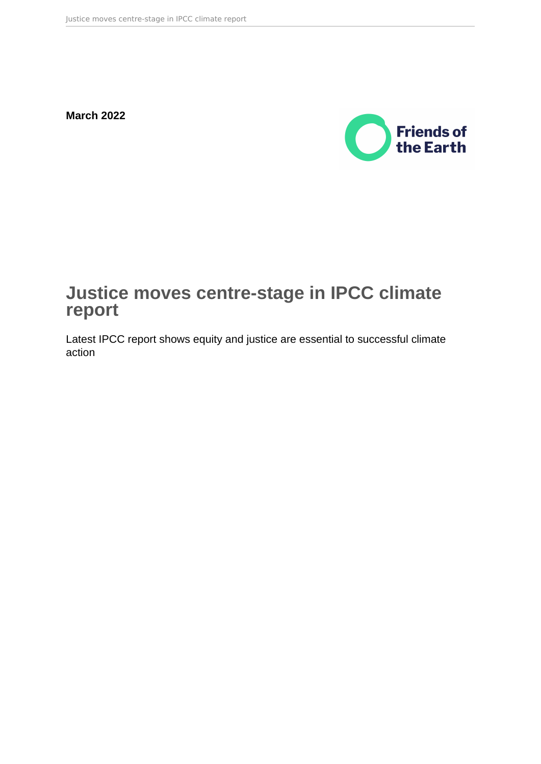**March 2022**



# **Justice moves centre-stage in IPCC climate report**

Latest IPCC report shows equity and justice are essential to successful climate action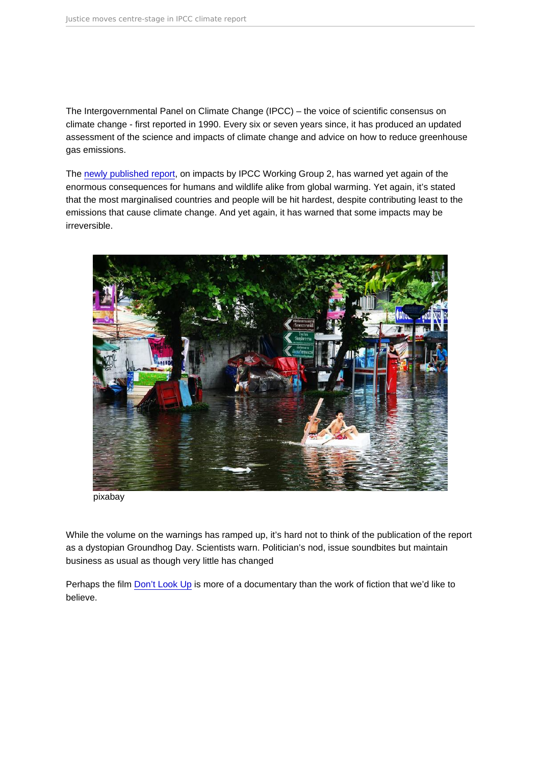The Intergovernmental Panel on Climate Change (IPCC) – the voice of scientific consensus on climate change - first reported in 1990. Every six or seven years since, it has produced an updated assessment of the science and impacts of climate change and advice on how to reduce greenhouse gas emissions.

The [newly published report,](https://www.ipcc.ch/report/sixth-assessment-report-working-group-ii/) on impacts by IPCC Working Group 2, has warned yet again of the enormous consequences for humans and wildlife alike from global warming. Yet again, it's stated that the most marginalised countries and people will be hit hardest, despite contributing least to the emissions that cause climate change. And yet again, it has warned that some impacts may be irreversible.

pixabay

While the volume on the warnings has ramped up, it's hard not to think of the publication of the report as a dystopian Groundhog Day. Scientists warn. Politician's nod, issue soundbites but maintain business as usual as though very little has changed

Perhaps the film [Don't Look Up](https://en.wikipedia.org/wiki/Don) is more of a documentary than the work of fiction that we'd like to believe.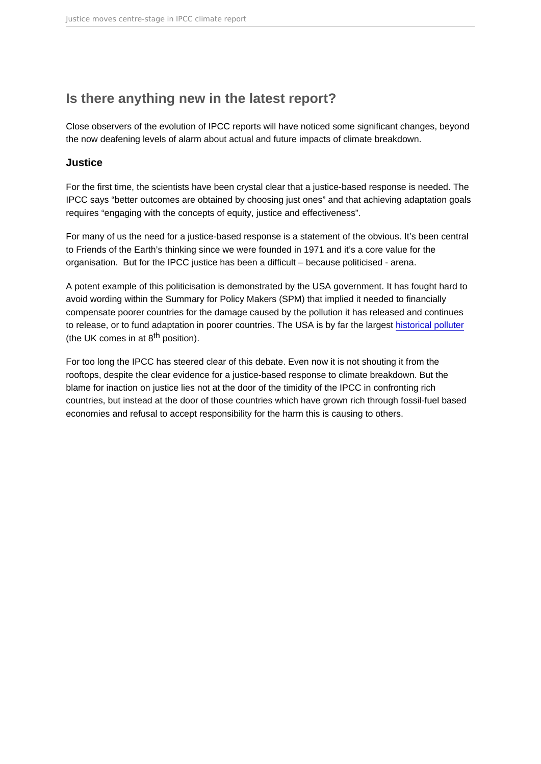## Is there anything new in the latest report?

Close observers of the evolution of IPCC reports will have noticed some significant changes, beyond the now deafening levels of alarm about actual and future impacts of climate breakdown.

#### **Justice**

For the first time, the scientists have been crystal clear that a justice-based response is needed. The IPCC says "better outcomes are obtained by choosing just ones" and that achieving adaptation goals requires "engaging with the concepts of equity, justice and effectiveness".

For many of us the need for a justice-based response is a statement of the obvious. It's been central to Friends of the Earth's thinking since we were founded in 1971 and it's a core value for the organisation. But for the IPCC justice has been a difficult – because politicised - arena.

A potent example of this politicisation is demonstrated by the USA government. It has fought hard to avoid wording within the Summary for Policy Makers (SPM) that implied it needed to financially compensate poorer countries for the damage caused by the pollution it has released and continues to release, or to fund adaptation in poorer countries. The USA is by far the largest [historical polluter](https://www.carbonbrief.org/analysis-which-countries-are-historically-responsible-for-climate-change) (the UK comes in at  $8<sup>th</sup>$  position).

For too long the IPCC has steered clear of this debate. Even now it is not shouting it from the rooftops, despite the clear evidence for a justice-based response to climate breakdown. But the blame for inaction on justice lies not at the door of the timidity of the IPCC in confronting rich countries, but instead at the door of those countries which have grown rich through fossil-fuel based economies and refusal to accept responsibility for the harm this is causing to others.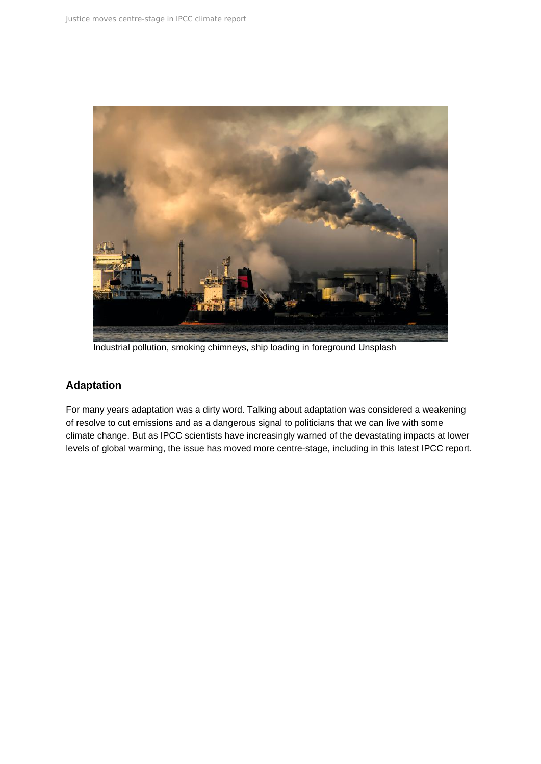

Industrial pollution, smoking chimneys, ship loading in foreground Unsplash

### **Adaptation**

For many years adaptation was a dirty word. Talking about adaptation was considered a weakening of resolve to cut emissions and as a dangerous signal to politicians that we can live with some climate change. But as IPCC scientists have increasingly warned of the devastating impacts at lower levels of global warming, the issue has moved more centre-stage, including in this latest IPCC report.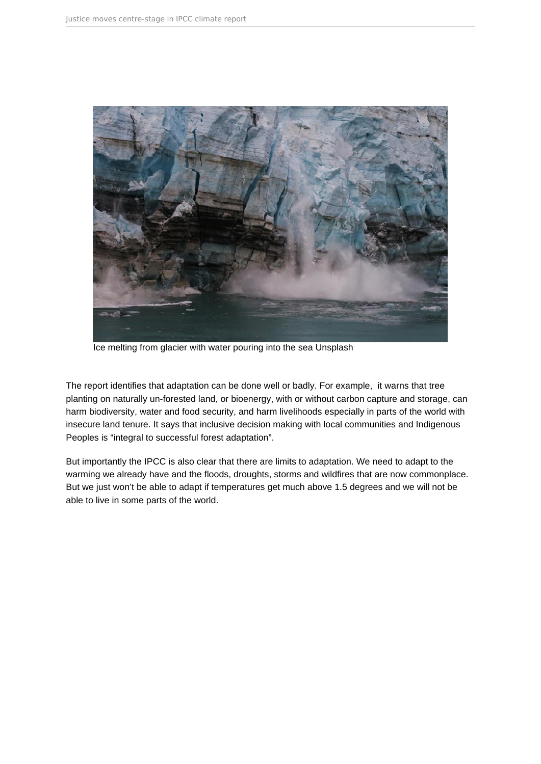

Ice melting from glacier with water pouring into the sea Unsplash

The report identifies that adaptation can be done well or badly. For example, it warns that tree planting on naturally un-forested land, or bioenergy, with or without carbon capture and storage, can harm biodiversity, water and food security, and harm livelihoods especially in parts of the world with insecure land tenure. It says that inclusive decision making with local communities and Indigenous Peoples is "integral to successful forest adaptation".

But importantly the IPCC is also clear that there are limits to adaptation. We need to adapt to the warming we already have and the floods, droughts, storms and wildfires that are now commonplace. But we just won't be able to adapt if temperatures get much above 1.5 degrees and we will not be able to live in some parts of the world.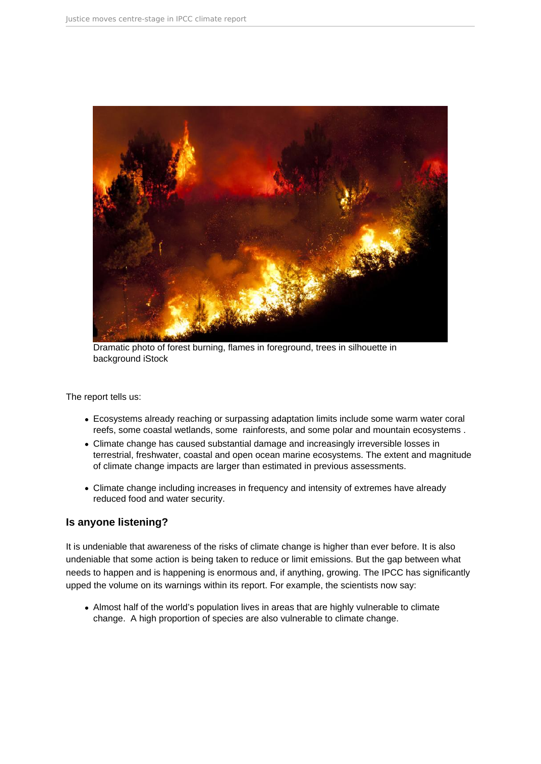

Dramatic photo of forest burning, flames in foreground, trees in silhouette in background iStock

The report tells us:

- Ecosystems already reaching or surpassing adaptation limits include some warm water coral reefs, some coastal wetlands, some rainforests, and some polar and mountain ecosystems .
- Climate change has caused substantial damage and increasingly irreversible losses in terrestrial, freshwater, coastal and open ocean marine ecosystems. The extent and magnitude of climate change impacts are larger than estimated in previous assessments.
- Climate change including increases in frequency and intensity of extremes have already reduced food and water security.

#### **Is anyone listening?**

It is undeniable that awareness of the risks of climate change is higher than ever before. It is also undeniable that some action is being taken to reduce or limit emissions. But the gap between what needs to happen and is happening is enormous and, if anything, growing. The IPCC has significantly upped the volume on its warnings within its report. For example, the scientists now say:

Almost half of the world's population lives in areas that are highly vulnerable to climate change. A high proportion of species are also vulnerable to climate change.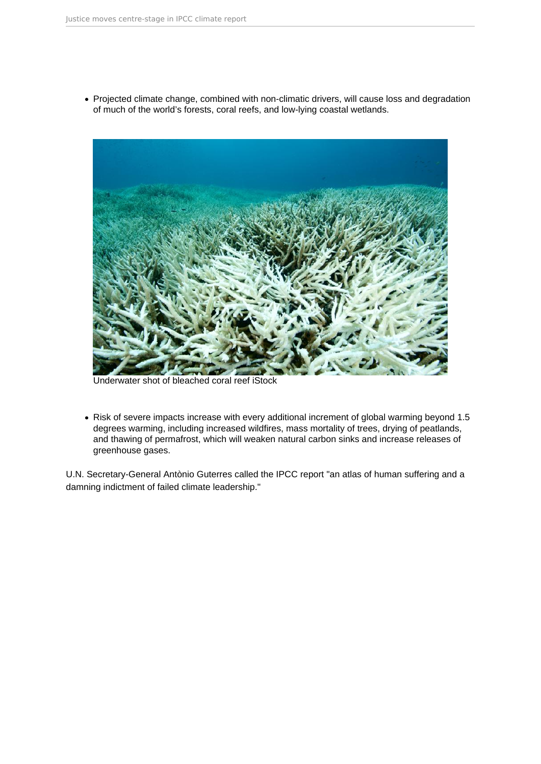• Projected climate change, combined with non-climatic drivers, will cause loss and degradation of much of the world's forests, coral reefs, and low-lying coastal wetlands.



Underwater shot of bleached coral reef iStock

• Risk of severe impacts increase with every additional increment of global warming beyond 1.5 degrees warming, including increased wildfires, mass mortality of trees, drying of peatlands, and thawing of permafrost, which will weaken natural carbon sinks and increase releases of greenhouse gases.

U.N. Secretary-General Antònio Guterres called the IPCC report "an atlas of human suffering and a damning indictment of failed climate leadership."